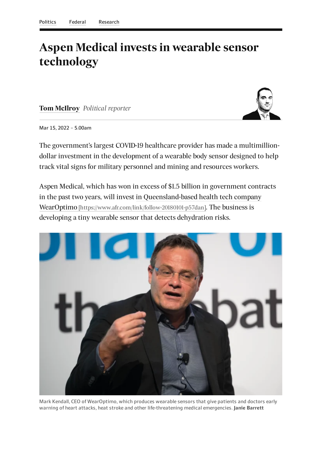## **Aspen Medical invests in wearable sensor technology**

**Tom [McIlroy](https://www.afr.com/by/tom-mcilroy-hverk)** *Political reporter*



Mar 15, 2022 – 5.00am

The government's largest COVID-19 healthcare provider has made a multimilliondollar investment in the development of a wearable body sensor designed to help track vital signs for military personnel and mining and resources workers.

Aspen Medical, which has won in excess of \$1.5 billion in government contracts in the past two years, will invest in Queensland-based health tech company WearOptimo [\[https://www.afr.com/link/follow-20180101-p57dan\]](https://www.afr.com/link/follow-20180101-p57dan). The business is developing a tiny wearable sensor that detects dehydration risks.



Mark Kendall, CEO of WearOptimo, which produces wearable sensors that give patients and doctors early warning of heart attacks, heat stroke and other life-threatening medical emergencies. **Janie Barrett**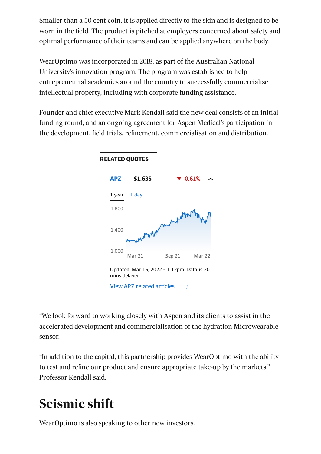Smaller than a 50 cent coin, it is applied directly to the skin and is designed to be worn in the field. The product is pitched at employers concerned about safety and optimal performance of their teams and can be applied anywhere on the body.

WearOptimo was incorporated in 2018, as part of the Australian National University's innovation program. The program was established to help entrepreneurial academics around the country to successfully commercialise intellectual property, including with corporate funding assistance.

Founder and chief executive Mark Kendall said the new deal consists of an initial funding round, and an ongoing agreement for Aspen Medical's participation in the development, field trials, refinement, commercialisation and distribution.

<span id="page-1-0"></span>

**RELATED QUOTES**

<span id="page-1-1"></span>"We look forward to working closely with Aspen and its clients to assist in the accelerated development and commercialisation of the hydration Microwearable sensor.

"In addition to the capital, this partnership provides WearOptimo with the ability to test and refine our product and ensure appropriate take-up by the markets," Professor Kendall said.

## **Seismic shift**

WearOptimo is also speaking to other new investors.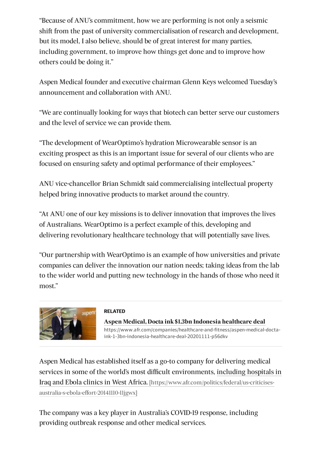"Because of ANU's commitment, how we are performing is not only a seismic shift from the past of university commercialisation of research and development, but its model, I also believe, should be of great interest for many parties, including government, to improve how things get done and to improve how others could be doing it."

Aspen Medical founder and executive chairman Glenn Keys welcomed Tuesday's announcement and collaboration with ANU.

"We are continually looking for ways that biotech can better serve our customers and the level of service we can provide them.

"The development of WearOptimo's hydration Microwearable sensor is an exciting prospect as this is an important issue for several of our clients who are focused on ensuring safety and optimal performance of their employees."

ANU vice-chancellor Brian Schmidt said commercialising intellectual property helped bring innovative products to market around the country.

"At ANU one of our key missions is to deliver innovation that improves the lives of Australians. WearOptimo is a perfect example of this, developing and delivering revolutionary healthcare technology that will potentially save lives.

"Our partnership with WearOptimo is an example of how universities and private companies can deliver the innovation our nation needs; taking ideas from the lab to the wider world and putting new technology in the hands of those who need it most."



## **RELATED**

**Aspen Medical, Docta ink \$1.3bn Indonesia healthcare deal** [https://www.afr.com/companies/healthcare-and-fitness/aspen-medical-docta](https://www.afr.com/companies/healthcare-and-fitness/aspen-medical-docta-ink-1-3bn-indonesia-healthcare-deal-20201111-p56dkv)ink-1-3bn-indonesia-healthcare-deal-20201111-p56dkv

Aspen Medical has established itself as a go-to company for delivering medical services in some of the world's most difficult environments, including hospitals in Iraq and Ebola clinics in West Africa. [\[https://www.afr.com/politics/federal/us-criticises](https://www.afr.com/politics/federal/us-criticises-australia-s-ebola-effort-20141110-11jgwx)australia-s-ebola-effort-20141110-11jgwx]

The company was a key player in Australia's COVID-19 response, including providing outbreak response and other medical services.